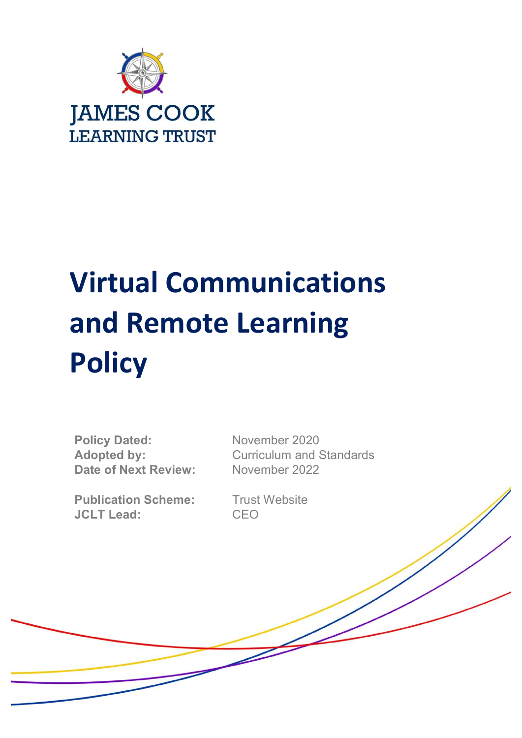

# **Virtual Communications and Remote Learning Policy**

Policy Dated: November 2020 **Date of Next Review:** November 2022

**Publication Scheme:** Trust Website **JCLT Lead:** CEO

Adopted by: Curriculum and Standards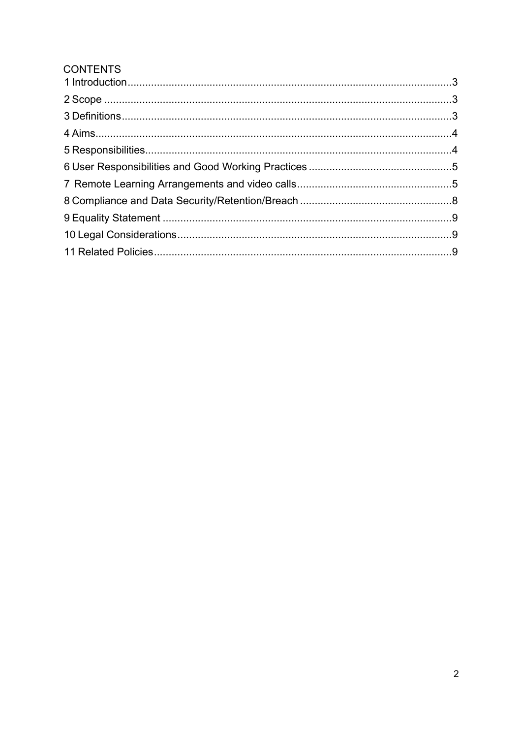# **CONTENTS**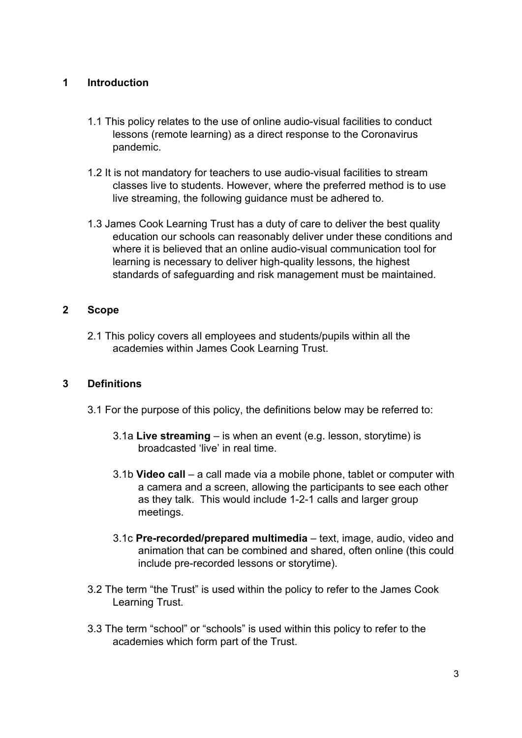# **1 Introduction**

- 1.1 This policy relates to the use of online audio-visual facilities to conduct lessons (remote learning) as a direct response to the Coronavirus pandemic.
- 1.2 It is not mandatory for teachers to use audio-visual facilities to stream classes live to students. However, where the preferred method is to use live streaming, the following guidance must be adhered to.
- 1.3 James Cook Learning Trust has a duty of care to deliver the best quality education our schools can reasonably deliver under these conditions and where it is believed that an online audio-visual communication tool for learning is necessary to deliver high-quality lessons, the highest standards of safeguarding and risk management must be maintained.

# **2 Scope**

2.1 This policy covers all employees and students/pupils within all the academies within James Cook Learning Trust.

#### **3 Definitions**

- 3.1 For the purpose of this policy, the definitions below may be referred to:
	- 3.1a **Live streaming** is when an event (e.g. lesson, storytime) is broadcasted 'live' in real time.
	- 3.1b **Video call** a call made via a mobile phone, tablet or computer with a camera and a screen, allowing the participants to see each other as they talk. This would include 1-2-1 calls and larger group meetings.
	- 3.1c **Pre-recorded/prepared multimedia** text, image, audio, video and animation that can be combined and shared, often online (this could include pre-recorded lessons or storytime).
- 3.2 The term "the Trust" is used within the policy to refer to the James Cook Learning Trust.
- 3.3 The term "school" or "schools" is used within this policy to refer to the academies which form part of the Trust.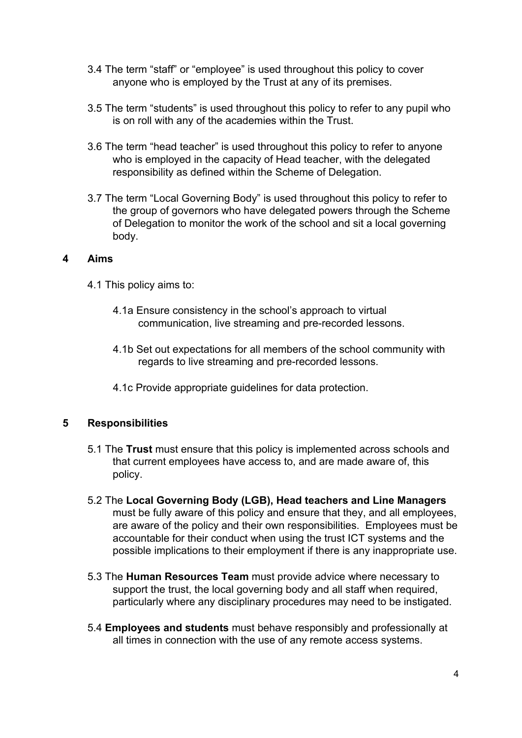- 3.4 The term "staff" or "employee" is used throughout this policy to cover anyone who is employed by the Trust at any of its premises.
- 3.5 The term "students" is used throughout this policy to refer to any pupil who is on roll with any of the academies within the Trust.
- 3.6 The term "head teacher" is used throughout this policy to refer to anyone who is employed in the capacity of Head teacher, with the delegated responsibility as defined within the Scheme of Delegation.
- 3.7 The term "Local Governing Body" is used throughout this policy to refer to the group of governors who have delegated powers through the Scheme of Delegation to monitor the work of the school and sit a local governing body.

#### **4 Aims**

- 4.1 This policy aims to:
	- 4.1a Ensure consistency in the school's approach to virtual communication, live streaming and pre-recorded lessons.
	- 4.1b Set out expectations for all members of the school community with regards to live streaming and pre-recorded lessons.
	- 4.1c Provide appropriate guidelines for data protection.

# **5 Responsibilities**

- 5.1 The **Trust** must ensure that this policy is implemented across schools and that current employees have access to, and are made aware of, this policy.
- 5.2 The **Local Governing Body (LGB), Head teachers and Line Managers**  must be fully aware of this policy and ensure that they, and all employees, are aware of the policy and their own responsibilities. Employees must be accountable for their conduct when using the trust ICT systems and the possible implications to their employment if there is any inappropriate use.
- 5.3 The **Human Resources Team** must provide advice where necessary to support the trust, the local governing body and all staff when required, particularly where any disciplinary procedures may need to be instigated.
- 5.4 **Employees and students** must behave responsibly and professionally at all times in connection with the use of any remote access systems.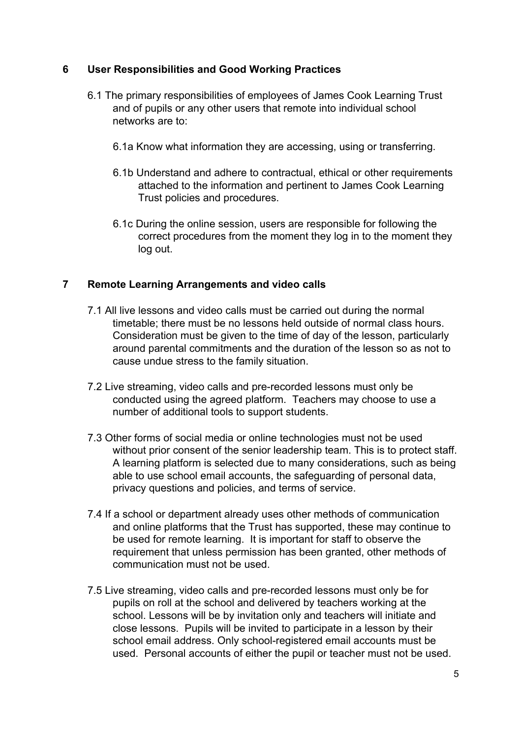# **6 User Responsibilities and Good Working Practices**

- 6.1 The primary responsibilities of employees of James Cook Learning Trust and of pupils or any other users that remote into individual school networks are to:
	- 6.1a Know what information they are accessing, using or transferring.
	- 6.1b Understand and adhere to contractual, ethical or other requirements attached to the information and pertinent to James Cook Learning Trust policies and procedures.
	- 6.1c During the online session, users are responsible for following the correct procedures from the moment they log in to the moment they log out.

#### **7 Remote Learning Arrangements and video calls**

- 7.1 All live lessons and video calls must be carried out during the normal timetable; there must be no lessons held outside of normal class hours. Consideration must be given to the time of day of the lesson, particularly around parental commitments and the duration of the lesson so as not to cause undue stress to the family situation.
- 7.2 Live streaming, video calls and pre-recorded lessons must only be conducted using the agreed platform. Teachers may choose to use a number of additional tools to support students.
- 7.3 Other forms of social media or online technologies must not be used without prior consent of the senior leadership team. This is to protect staff. A learning platform is selected due to many considerations, such as being able to use school email accounts, the safeguarding of personal data, privacy questions and policies, and terms of service.
- 7.4 If a school or department already uses other methods of communication and online platforms that the Trust has supported, these may continue to be used for remote learning. It is important for staff to observe the requirement that unless permission has been granted, other methods of communication must not be used.
- 7.5 Live streaming, video calls and pre-recorded lessons must only be for pupils on roll at the school and delivered by teachers working at the school. Lessons will be by invitation only and teachers will initiate and close lessons. Pupils will be invited to participate in a lesson by their school email address. Only school-registered email accounts must be used. Personal accounts of either the pupil or teacher must not be used.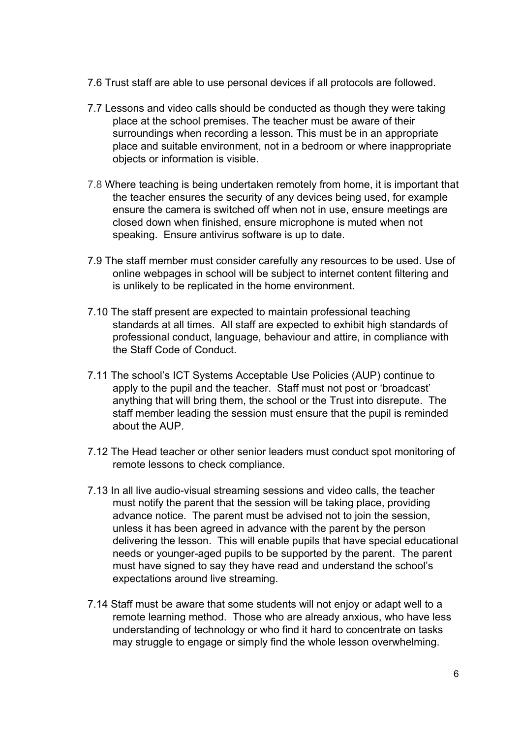- 7.6 Trust staff are able to use personal devices if all protocols are followed.
- 7.7 Lessons and video calls should be conducted as though they were taking place at the school premises. The teacher must be aware of their surroundings when recording a lesson. This must be in an appropriate place and suitable environment, not in a bedroom or where inappropriate objects or information is visible.
- 7.8 Where teaching is being undertaken remotely from home, it is important that the teacher ensures the security of any devices being used, for example ensure the camera is switched off when not in use, ensure meetings are closed down when finished, ensure microphone is muted when not speaking. Ensure antivirus software is up to date.
- 7.9 The staff member must consider carefully any resources to be used. Use of online webpages in school will be subject to internet content filtering and is unlikely to be replicated in the home environment.
- 7.10 The staff present are expected to maintain professional teaching standards at all times. All staff are expected to exhibit high standards of professional conduct, language, behaviour and attire, in compliance with the Staff Code of Conduct.
- 7.11 The school's ICT Systems Acceptable Use Policies (AUP) continue to apply to the pupil and the teacher. Staff must not post or 'broadcast' anything that will bring them, the school or the Trust into disrepute. The staff member leading the session must ensure that the pupil is reminded about the AUP.
- 7.12 The Head teacher or other senior leaders must conduct spot monitoring of remote lessons to check compliance.
- 7.13 In all live audio-visual streaming sessions and video calls, the teacher must notify the parent that the session will be taking place, providing advance notice. The parent must be advised not to join the session, unless it has been agreed in advance with the parent by the person delivering the lesson. This will enable pupils that have special educational needs or younger-aged pupils to be supported by the parent. The parent must have signed to say they have read and understand the school's expectations around live streaming.
- 7.14 Staff must be aware that some students will not enjoy or adapt well to a remote learning method. Those who are already anxious, who have less understanding of technology or who find it hard to concentrate on tasks may struggle to engage or simply find the whole lesson overwhelming.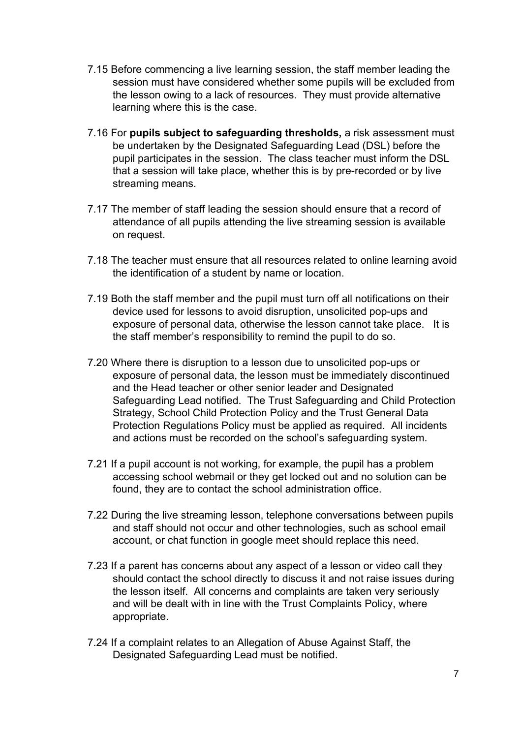- 7.15 Before commencing a live learning session, the staff member leading the session must have considered whether some pupils will be excluded from the lesson owing to a lack of resources. They must provide alternative learning where this is the case.
- 7.16 For **pupils subject to safeguarding thresholds,** a risk assessment must be undertaken by the Designated Safeguarding Lead (DSL) before the pupil participates in the session. The class teacher must inform the DSL that a session will take place, whether this is by pre-recorded or by live streaming means.
- 7.17 The member of staff leading the session should ensure that a record of attendance of all pupils attending the live streaming session is available on request.
- 7.18 The teacher must ensure that all resources related to online learning avoid the identification of a student by name or location.
- 7.19 Both the staff member and the pupil must turn off all notifications on their device used for lessons to avoid disruption, unsolicited pop-ups and exposure of personal data, otherwise the lesson cannot take place. It is the staff member's responsibility to remind the pupil to do so.
- 7.20 Where there is disruption to a lesson due to unsolicited pop-ups or exposure of personal data, the lesson must be immediately discontinued and the Head teacher or other senior leader and Designated Safeguarding Lead notified. The Trust Safeguarding and Child Protection Strategy, School Child Protection Policy and the Trust General Data Protection Regulations Policy must be applied as required. All incidents and actions must be recorded on the school's safeguarding system.
- 7.21 If a pupil account is not working, for example, the pupil has a problem accessing school webmail or they get locked out and no solution can be found, they are to contact the school administration office.
- 7.22 During the live streaming lesson, telephone conversations between pupils and staff should not occur and other technologies, such as school email account, or chat function in google meet should replace this need.
- 7.23 If a parent has concerns about any aspect of a lesson or video call they should contact the school directly to discuss it and not raise issues during the lesson itself. All concerns and complaints are taken very seriously and will be dealt with in line with the Trust Complaints Policy, where appropriate.
- 7.24 If a complaint relates to an Allegation of Abuse Against Staff, the Designated Safeguarding Lead must be notified.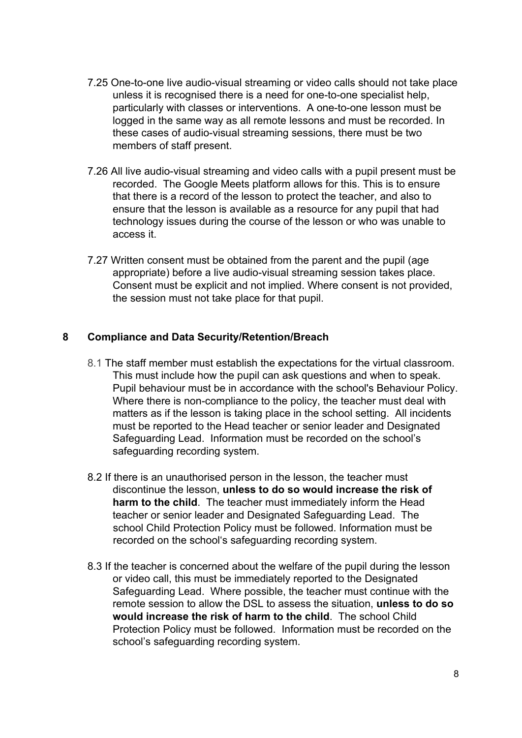- 7.25 One-to-one live audio-visual streaming or video calls should not take place unless it is recognised there is a need for one-to-one specialist help, particularly with classes or interventions. A one-to-one lesson must be logged in the same way as all remote lessons and must be recorded. In these cases of audio-visual streaming sessions, there must be two members of staff present.
- 7.26 All live audio-visual streaming and video calls with a pupil present must be recorded. The Google Meets platform allows for this. This is to ensure that there is a record of the lesson to protect the teacher, and also to ensure that the lesson is available as a resource for any pupil that had technology issues during the course of the lesson or who was unable to access it.
- 7.27 Written consent must be obtained from the parent and the pupil (age appropriate) before a live audio-visual streaming session takes place. Consent must be explicit and not implied. Where consent is not provided, the session must not take place for that pupil.

#### **8 Compliance and Data Security/Retention/Breach**

- 8.1 The staff member must establish the expectations for the virtual classroom. This must include how the pupil can ask questions and when to speak. Pupil behaviour must be in accordance with the school's Behaviour Policy. Where there is non-compliance to the policy, the teacher must deal with matters as if the lesson is taking place in the school setting. All incidents must be reported to the Head teacher or senior leader and Designated Safeguarding Lead. Information must be recorded on the school's safeguarding recording system.
- 8.2 If there is an unauthorised person in the lesson, the teacher must discontinue the lesson, **unless to do so would increase the risk of harm to the child**. The teacher must immediately inform the Head teacher or senior leader and Designated Safeguarding Lead. The school Child Protection Policy must be followed. Information must be recorded on the school's safeguarding recording system.
- 8.3 If the teacher is concerned about the welfare of the pupil during the lesson or video call, this must be immediately reported to the Designated Safeguarding Lead. Where possible, the teacher must continue with the remote session to allow the DSL to assess the situation, **unless to do so would increase the risk of harm to the child**. The school Child Protection Policy must be followed. Information must be recorded on the school's safeguarding recording system.